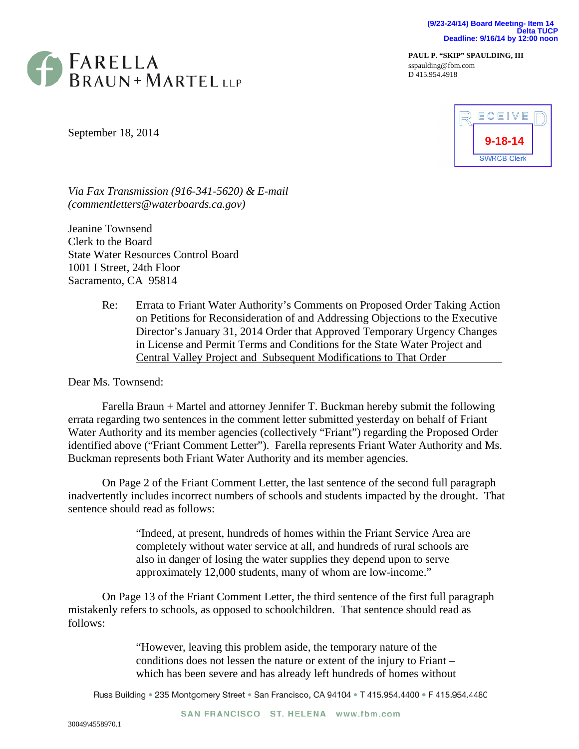**(9/23-24/14) Board Meeting- Item 14 Delta TUCP Deadline: 9/16/14 by 12:00 noon**



**PAUL P. "SKIP" SPAULDING, III**  sspaulding@fbm.com D 415.954.4918

September 18, 2014



*Via Fax Transmission (916-341-5620) & E-mail (commentletters@waterboards.ca.gov)* 

Jeanine Townsend Clerk to the Board State Water Resources Control Board 1001 I Street, 24th Floor Sacramento, CA 95814

> Re: Errata to Friant Water Authority's Comments on Proposed Order Taking Action on Petitions for Reconsideration of and Addressing Objections to the Executive Director's January 31, 2014 Order that Approved Temporary Urgency Changes in License and Permit Terms and Conditions for the State Water Project and Central Valley Project and Subsequent Modifications to That Order

Dear Ms. Townsend:

Farella Braun + Martel and attorney Jennifer T. Buckman hereby submit the following errata regarding two sentences in the comment letter submitted yesterday on behalf of Friant Water Authority and its member agencies (collectively "Friant") regarding the Proposed Order identified above ("Friant Comment Letter"). Farella represents Friant Water Authority and Ms. Buckman represents both Friant Water Authority and its member agencies.

On Page 2 of the Friant Comment Letter, the last sentence of the second full paragraph inadvertently includes incorrect numbers of schools and students impacted by the drought. That sentence should read as follows:

> "Indeed, at present, hundreds of homes within the Friant Service Area are completely without water service at all, and hundreds of rural schools are also in danger of losing the water supplies they depend upon to serve approximately 12,000 students, many of whom are low-income."

On Page 13 of the Friant Comment Letter, the third sentence of the first full paragraph mistakenly refers to schools, as opposed to schoolchildren. That sentence should read as follows:

> "However, leaving this problem aside, the temporary nature of the conditions does not lessen the nature or extent of the injury to Friant – which has been severe and has already left hundreds of homes without

Russ Building . 235 Montgomery Street . San Francisco, CA 94104 . T 415.954.4400 . F 415.954.4480